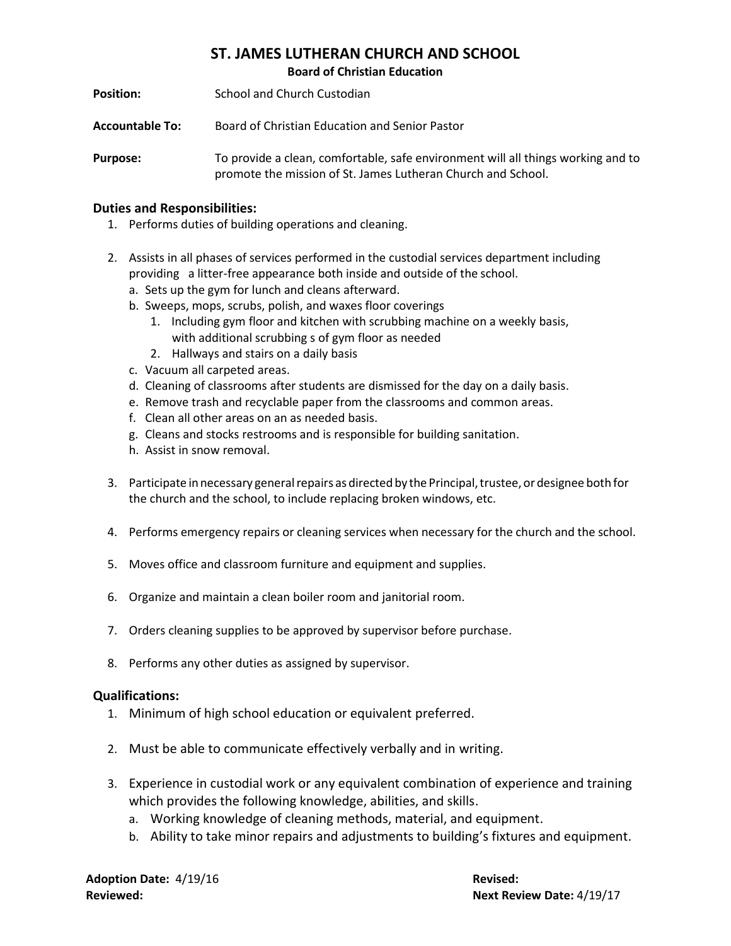## **ST. JAMES LUTHERAN CHURCH AND SCHOOL**

**Board of Christian Education**

**Position: School and Church Custodian** 

**Accountable To:** Board of Christian Education and Senior Pastor

**Purpose:** To provide a clean, comfortable, safe environment will all things working and to promote the mission of St. James Lutheran Church and School.

## **Duties and Responsibilities:**

- 1. Performs duties of building operations and cleaning.
- 2. Assists in all phases of services performed in the custodial services department including providing a litter-free appearance both inside and outside of the school.
	- a. Sets up the gym for lunch and cleans afterward.
	- b. Sweeps, mops, scrubs, polish, and waxes floor coverings
		- 1. Including gym floor and kitchen with scrubbing machine on a weekly basis, with additional scrubbing s of gym floor as needed
		- 2. Hallways and stairs on a daily basis
	- c. Vacuum all carpeted areas.
	- d. Cleaning of classrooms after students are dismissed for the day on a daily basis.
	- e. Remove trash and recyclable paper from the classrooms and common areas.
	- f. Clean all other areas on an as needed basis.
	- g. Cleans and stocks restrooms and is responsible for building sanitation.
	- h. Assist in snow removal.
- 3. Participate in necessary general repairs as directed by the Principal, trustee, or designee both for the church and the school, to include replacing broken windows, etc.
- 4. Performs emergency repairs or cleaning services when necessary for the church and the school.
- 5. Moves office and classroom furniture and equipment and supplies.
- 6. Organize and maintain a clean boiler room and janitorial room.
- 7. Orders cleaning supplies to be approved by supervisor before purchase.
- 8. Performs any other duties as assigned by supervisor.

## **Qualifications:**

- 1. Minimum of high school education or equivalent preferred.
- 2. Must be able to communicate effectively verbally and in writing.
- 3. Experience in custodial work or any equivalent combination of experience and training which provides the following knowledge, abilities, and skills.
	- a. Working knowledge of cleaning methods, material, and equipment.
	- b. Ability to take minor repairs and adjustments to building's fixtures and equipment.